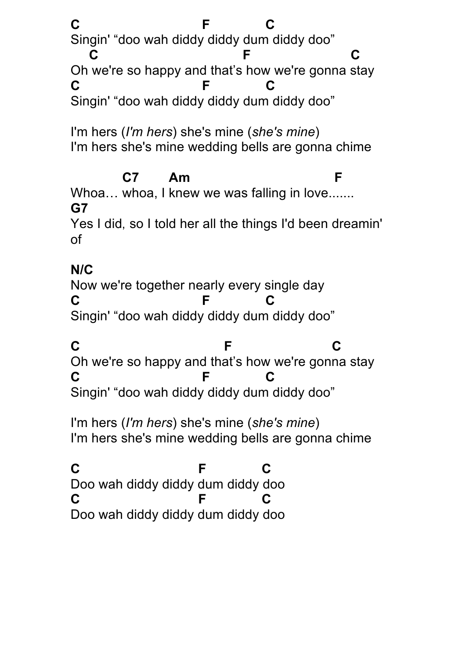**C F C** Singin' "doo wah diddy diddy dum diddy doo" **C** F C Oh we're so happy and that's how we're gonna stay **C F C** Singin' "doo wah diddy diddy dum diddy doo" I'm hers (*I'm hers*) she's mine (*she's mine*) I'm hers she's mine wedding bells are gonna chime  **C7 Am F** Whoa... whoa, I knew we was falling in love....... **G7** Yes I did, so I told her all the things I'd been dreamin' of **N/C** Now we're together nearly every single day **C F C** Singin' "doo wah diddy diddy dum diddy doo" **C F C**

Oh we're so happy and that's how we're gonna stay **C F C** Singin' "doo wah diddy diddy dum diddy doo"

I'm hers (*I'm hers*) she's mine (*she's mine*) I'm hers she's mine wedding bells are gonna chime

**C F C** Doo wah diddy diddy dum diddy doo **C F C** Doo wah diddy diddy dum diddy doo